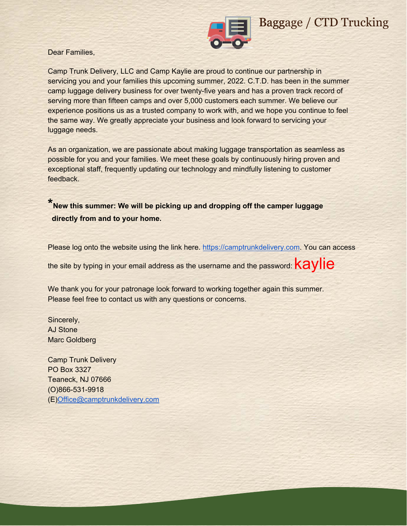

# Baggage / CTD Trucking

Dear Families,

 servicing you and your families this upcoming summer, 2022. C.T.D. has been in the summer Camp Trunk Delivery, LLC and Camp Kaylie are proud to continue our partnership in camp luggage delivery business for over twenty-five years and has a proven track record of serving more than fifteen camps and over 5,000 customers each summer. We believe our experience positions us as a trusted company to work with, and we hope you continue to feel the same way. We greatly appreciate your business and look forward to servicing your luggage needs.

As an organization, we are passionate about making luggage transportation as seamless as possible for you and your families. We meet these goals by continuously hiring proven and exceptional staff, frequently updating our technology and mindfully listening to customer feedback.

**\*New this summer: We will be picking up and dropping off the camper luggage directly from and to your home.**

Please log onto the website using the link here. https://camptrunkdelivery.com. You can access

the site by typing in your email address as the username and the password:  $kaylie$ 

We thank you for your patronage look forward to working together again this summer. Please feel free to contact us with any questions or concerns.

Sincerely, AJ Stone Marc Goldberg

Camp Trunk Delivery PO Box 3327 Teaneck, NJ [07666](mailto:Office@camptrunkdelivery.com)  (O)866-531-9918 (E)Office@camptrunkdelivery.com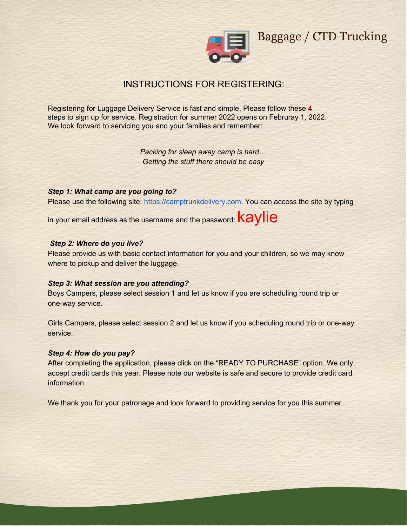

Baggage / CTD Trucking

# INSTRUCTIONS FOR REGISTERING:

Registering for Luggage Delivery Service is fast and simple. Please follow these 4 steps to sign up for service. Registration for summer 2022 opens on Februray 1, 2022. We look forward to servicing you and your families and remember:

> *Packing for sleep away camp is hard… Getting the stuff there should be easy*

*Step 1: What camp are you going to?* 

Please use the following site: [https://camptrunkdelivery.com.](https://camptrunkdelivery.com/) You can access the site by typing

in your email address as the username and the password:  $k$ aylie

### *Step 2: Where do you live?*

Please provide us with basic contact information for you and your children, so we may know where to pickup and deliver the luggage.

### *Step 3: What session are you attending?*

Boys Campers, please select session 1 and let us know if you are scheduling round trip or one-way service.

Girls Campers, please select session 2 and let us know if you scheduling round trip or one-way service.

### *Step 4: How do you pay?*

After completing the application, please click on the "READY TO PURCHASE" option. We only accept credit cards this year. Please note our website is safe and secure to provide credit card information.

We thank you for your patronage and look forward to providing service for you this summer.